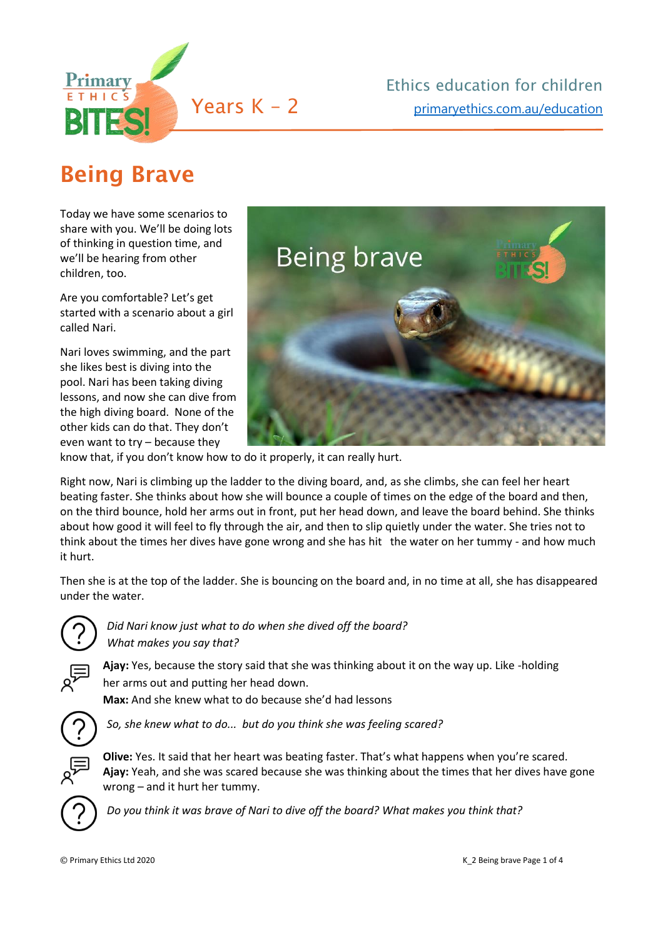

## Being Brave

Today we have some scenarios to share with you. We'll be doing lots of thinking in question time, and we'll be hearing from other children, too.  

Are you comfortable? Let's get started with a scenario about a girl called Nari.

Nari loves swimming, and the part she likes best is diving into the pool. Nari has been taking diving lessons, and now she can dive from the high diving board.  None of the other kids can do that. They don't even want to try – because they



know that, if you don't know how to do it properly, it can really hurt.

Right now, Nari is climbing up the ladder to the diving board, and, as she climbs, she can feel her heart beating faster. She thinks about how she will bounce a couple of times on the edge of the board and then, on the third bounce, hold her arms out in front, put her head down, and leave the board behind. She thinks about how good it will feel to fly through the air, and then to slip quietly under the water. She tries not to think about the times her dives have gone wrong and she has hit   the water on her tummy - and how much it hurt.  

Then she is at the top of the ladder. She is bouncing on the board and, in no time at all, she has disappeared under the water. 



*Did Nari know just what to do when she dived off the board? What makes you say that?*



**Ajay:** Yes, because the story said that she was thinking about it on the way up. Like -holding her arms out and putting her head down. 

**Max:** And she knew what to do because she'd had lessons



*So, she knew what to do... but do you think she was feeling scared?*



**Olive:** Yes. It said that her heart was beating faster. That's what happens when you're scared. **Ajay:** Yeah, and she was scared because she was thinking about the times that her dives have gone wrong – and it hurt her tummy.  



*Do you think it was brave of Nari to dive off the board? What makes you think that?*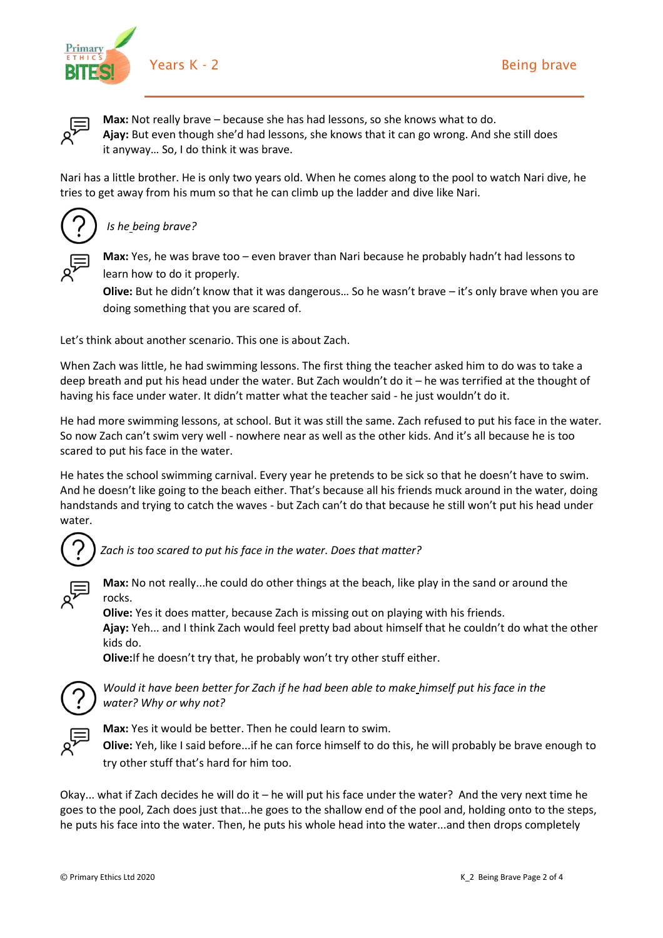



**Max:** Not really brave – because she has had lessons, so she knows what to do. **Ajay:** But even though she'd had lessons, she knows that it can go wrong. And she still does it anyway… So, I do think it was brave.

Nari has a little brother. He is only two years old. When he comes along to the pool to watch Nari dive, he tries to get away from his mum so that he can climb up the ladder and dive like Nari.



## *Is he being brave?*



**Max:** Yes, he was brave too – even braver than Nari because he probably hadn't had lessons to learn how to do it properly.

**Olive:** But he didn't know that it was dangerous… So he wasn't brave – it's only brave when you are doing something that you are scared of.

Let's think about another scenario. This one is about Zach.

When Zach was little, he had swimming lessons. The first thing the teacher asked him to do was to take a deep breath and put his head under the water. But Zach wouldn't do it – he was terrified at the thought of having his face under water. It didn't matter what the teacher said - he just wouldn't do it.

He had more swimming lessons, at school. But it was still the same. Zach refused to put his face in the water. So now Zach can't swim very well - nowhere near as well as the other kids. And it's all because he is too scared to put his face in the water.

He hates the school swimming carnival. Every year he pretends to be sick so that he doesn't have to swim. And he doesn't like going to the beach either. That's because all his friends muck around in the water, doing handstands and trying to catch the waves - but Zach can't do that because he still won't put his head under water.  



*Zach is too scared to put his face in the water. Does that matter?*



**Max:** No not really...he could do other things at the beach, like play in the sand or around the rocks.

**Olive:** Yes it does matter, because Zach is missing out on playing with his friends. **Ajay:** Yeh... and I think Zach would feel pretty bad about himself that he couldn't do what the other kids do.

**Olive:**If he doesn't try that, he probably won't try other stuff either.



*Would it have been better for Zach if he had been able to make himself put his face in the water? Why or why not?*



**Max:** Yes it would be better. Then he could learn to swim.

**Olive:** Yeh, like I said before...if he can force himself to do this, he will probably be brave enough to try other stuff that's hard for him too. 

Okay... what if Zach decides he will do it – he will put his face under the water?  And the very next time he goes to the pool, Zach does just that...he goes to the shallow end of the pool and, holding onto to the steps, he puts his face into the water. Then, he puts his whole head into the water...and then drops completely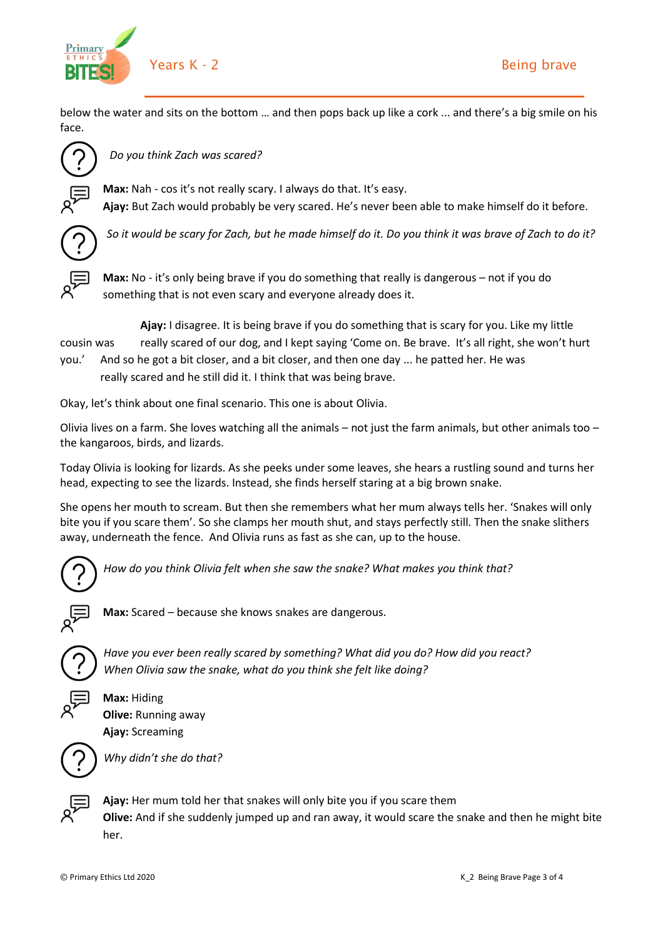

below the water and sits on the bottom … and then pops back up like a cork ... and there's a big smile on his face.



*Do you think Zach was scared?*

**Max:** Nah - cos it's not really scary. I always do that. It's easy. **Ajay:** But Zach would probably be very scared. He's never been able to make himself do it before.



*So it would be scary for Zach, but he made himself do it. Do you think it was brave of Zach to do it?*



**Max:** No - it's only being brave if you do something that really is dangerous – not if you do something that is not even scary and everyone already does it.

**Ajay:** I disagree. It is being brave if you do something that is scary for you. Like my little cousin was really scared of our dog, and I kept saying 'Come on. Be brave. It's all right, she won't hurt you.' And so he got a bit closer, and a bit closer, and then one day ... he patted her. He was

really scared and he still did it. I think that was being brave.

Okay, let's think about one final scenario. This one is about Olivia.

Olivia lives on a farm. She loves watching all the animals – not just the farm animals, but other animals too – the kangaroos, birds, and lizards.

Today Olivia is looking for lizards. As she peeks under some leaves, she hears a rustling sound and turns her head, expecting to see the lizards. Instead, she finds herself staring at a big brown snake. 

She opens her mouth to scream. But then she remembers what her mum always tells her. 'Snakes will only bite you if you scare them'. So she clamps her mouth shut, and stays perfectly still. Then the snake slithers away, underneath the fence.  And Olivia runs as fast as she can, up to the house.



*How do you think Olivia felt when she saw the snake? What makes you think that?*



**Max:** Scared – because she knows snakes are dangerous.



*Have you ever been really scared by something? What did you do? How did you react?  When Olivia saw the snake, what do you think she felt like doing?*

**Max:** Hiding **Olive:** Running away **Ajay:** Screaming



*Why didn't she do that?*



**Ajay:** Her mum told her that snakes will only bite you if you scare them

**Olive:** And if she suddenly jumped up and ran away, it would scare the snake and then he might bite her.